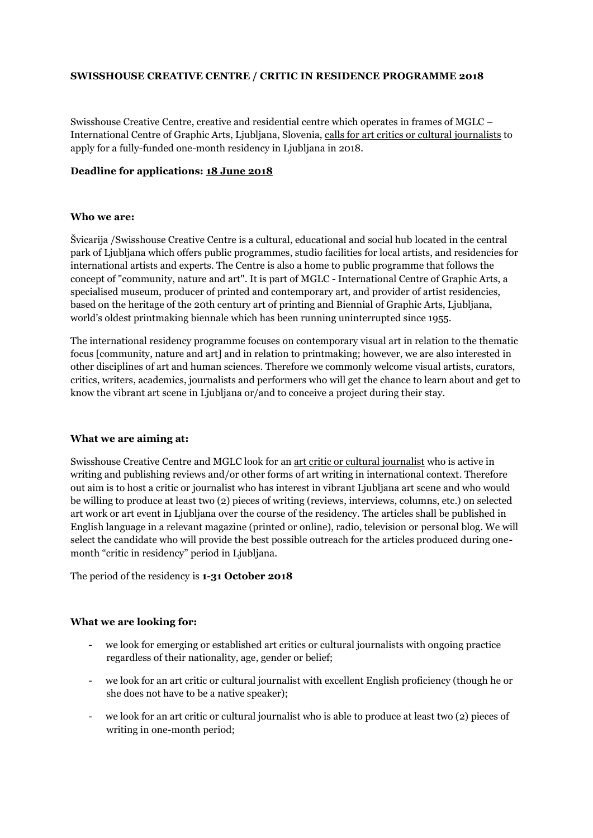## **SWISSHOUSE CREATIVE CENTRE / CRITIC IN RESIDENCE PROGRAMME 2018**

Swisshouse Creative Centre, creative and residential centre which operates in frames of MGLC – International Centre of Graphic Arts, Ljubljana, Slovenia, calls for art critics or cultural journalists to apply for a fully-funded one-month residency in Ljubljana in 2018.

## **Deadline for applications: 18 June 2018**

## **Who we are:**

Švicarija /Swisshouse Creative Centre is a cultural, educational and social hub located in the central park of Ljubljana which offers public programmes, studio facilities for local artists, and residencies for international artists and experts. The Centre is also a home to public programme that follows the concept of "community, nature and art". It is part of MGLC - International Centre of Graphic Arts, a specialised museum, producer of printed and contemporary art, and provider of artist residencies, based on the heritage of the 20th century art of printing and Biennial of Graphic Arts, Ljubljana, world's oldest printmaking biennale which has been running uninterrupted since 1955.

The international residency programme focuses on contemporary visual art in relation to the thematic focus [community, nature and art] and in relation to printmaking; however, we are also interested in other disciplines of art and human sciences. Therefore we commonly welcome visual artists, curators, critics, writers, academics, journalists and performers who will get the chance to learn about and get to know the vibrant art scene in Ljubljana or/and to conceive a project during their stay.

#### **What we are aiming at:**

Swisshouse Creative Centre and MGLC look for an art critic or cultural journalist who is active in writing and publishing reviews and/or other forms of art writing in international context. Therefore out aim is to host a critic or journalist who has interest in vibrant Ljubljana art scene and who would be willing to produce at least two (2) pieces of writing (reviews, interviews, columns, etc.) on selected art work or art event in Ljubljana over the course of the residency. The articles shall be published in English language in a relevant magazine (printed or online), radio, television or personal blog. We will select the candidate who will provide the best possible outreach for the articles produced during onemonth "critic in residency" period in Ljubljana.

The period of the residency is **1-31 October 2018**

#### **What we are looking for:**

- we look for emerging or established art critics or cultural journalists with ongoing practice regardless of their nationality, age, gender or belief;
- we look for an art critic or cultural journalist with excellent English proficiency (though he or she does not have to be a native speaker);
- we look for an art critic or cultural journalist who is able to produce at least two (2) pieces of writing in one-month period;